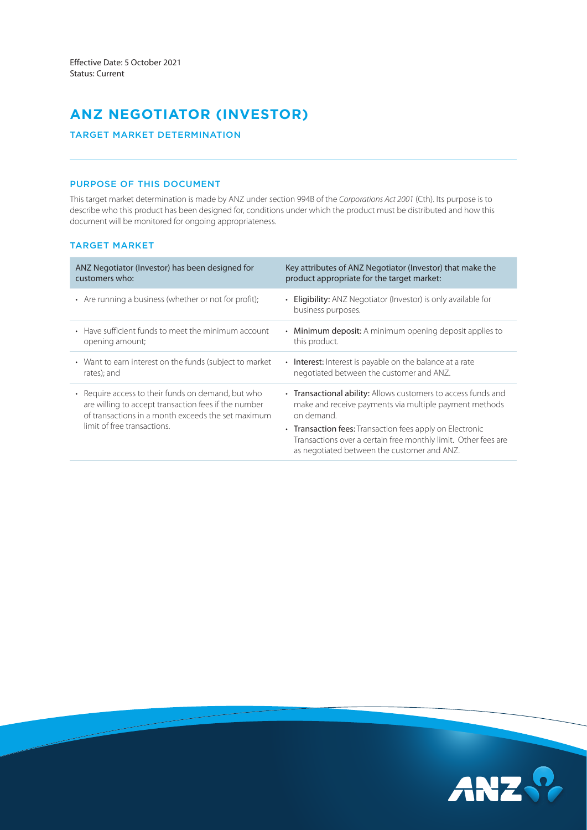# **ANZ NEGOTIATOR (INVESTOR)**

# TARGET MARKET DETERMINATION

## PURPOSE OF THIS DOCUMENT

This target market determination is made by ANZ under section 994B of the *Corporations Act 2001* (Cth). Its purpose is to describe who this product has been designed for, conditions under which the product must be distributed and how this document will be monitored for ongoing appropriateness.

## TARGET MARKET

| ANZ Negotiator (Investor) has been designed for<br>customers who:                                                                                                                                          | Key attributes of ANZ Negotiator (Investor) that make the<br>product appropriate for the target market:                                                                   |
|------------------------------------------------------------------------------------------------------------------------------------------------------------------------------------------------------------|---------------------------------------------------------------------------------------------------------------------------------------------------------------------------|
| • Are running a business (whether or not for profit);                                                                                                                                                      | • Eligibility: ANZ Negotiator (Investor) is only available for<br>business purposes.                                                                                      |
| • Have sufficient funds to meet the minimum account<br>opening amount;                                                                                                                                     | Minimum deposit: A minimum opening deposit applies to<br>$\bullet$<br>this product.                                                                                       |
| • Want to earn interest on the funds (subject to market<br>rates); and                                                                                                                                     | • Interest: Interest is payable on the balance at a rate<br>negotiated between the customer and ANZ.                                                                      |
| Require access to their funds on demand, but who<br>$\bullet$<br>are willing to accept transaction fees if the number<br>of transactions in a month exceeds the set maximum<br>limit of free transactions. | • Transactional ability: Allows customers to access funds and<br>make and receive payments via multiple payment methods<br>on demand.                                     |
|                                                                                                                                                                                                            | • Transaction fees: Transaction fees apply on Electronic<br>Transactions over a certain free monthly limit. Other fees are<br>as negotiated between the customer and ANZ. |

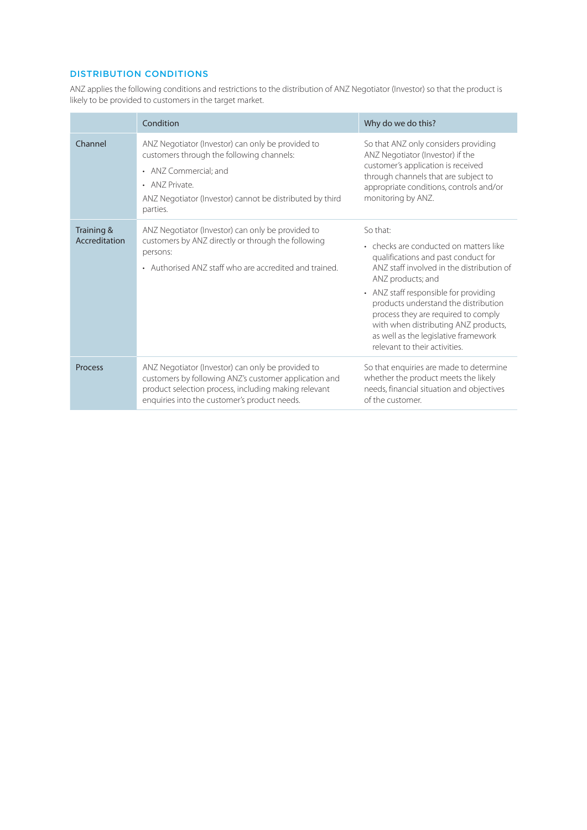# DISTRIBUTION CONDITIONS

ANZ applies the following conditions and restrictions to the distribution of ANZ Negotiator (Investor) so that the product is likely to be provided to customers in the target market.

|                             | Condition                                                                                                                                                                                                          | Why do we do this?                                                                                                                                                                                                                                                                                                                                                                                   |
|-----------------------------|--------------------------------------------------------------------------------------------------------------------------------------------------------------------------------------------------------------------|------------------------------------------------------------------------------------------------------------------------------------------------------------------------------------------------------------------------------------------------------------------------------------------------------------------------------------------------------------------------------------------------------|
| Channel                     | ANZ Negotiator (Investor) can only be provided to<br>customers through the following channels:<br>• ANZ Commercial; and<br>• ANZ Private.<br>ANZ Negotiator (Investor) cannot be distributed by third<br>parties.  | So that ANZ only considers providing<br>ANZ Negotiator (Investor) if the<br>customer's application is received<br>through channels that are subject to<br>appropriate conditions, controls and/or<br>monitoring by ANZ.                                                                                                                                                                              |
| Training &<br>Accreditation | ANZ Negotiator (Investor) can only be provided to<br>customers by ANZ directly or through the following<br>persons:<br>• Authorised ANZ staff who are accredited and trained.                                      | So that:<br>• checks are conducted on matters like<br>qualifications and past conduct for<br>ANZ staff involved in the distribution of<br>ANZ products; and<br>• ANZ staff responsible for providing<br>products understand the distribution<br>process they are required to comply<br>with when distributing ANZ products,<br>as well as the legislative framework<br>relevant to their activities. |
| <b>Process</b>              | ANZ Negotiator (Investor) can only be provided to<br>customers by following ANZ's customer application and<br>product selection process, including making relevant<br>enquiries into the customer's product needs. | So that enquiries are made to determine<br>whether the product meets the likely<br>needs, financial situation and objectives<br>of the customer.                                                                                                                                                                                                                                                     |